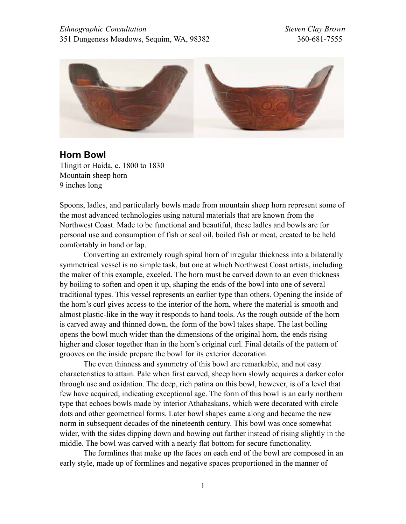

**Horn Bowl**  Tlingit or Haida, c. 1800 to 1830 Mountain sheep horn 9 inches long

Spoons, ladles, and particularly bowls made from mountain sheep horn represent some of the most advanced technologies using natural materials that are known from the Northwest Coast. Made to be functional and beautiful, these ladles and bowls are for personal use and consumption of fish or seal oil, boiled fish or meat, created to be held comfortably in hand or lap.

 Converting an extremely rough spiral horn of irregular thickness into a bilaterally symmetrical vessel is no simple task, but one at which Northwest Coast artists, including the maker of this example, exceled. The horn must be carved down to an even thickness by boiling to soften and open it up, shaping the ends of the bowl into one of several traditional types. This vessel represents an earlier type than others. Opening the inside of the horn's curl gives access to the interior of the horn, where the material is smooth and almost plastic-like in the way it responds to hand tools. As the rough outside of the horn is carved away and thinned down, the form of the bowl takes shape. The last boiling opens the bowl much wider than the dimensions of the original horn, the ends rising higher and closer together than in the horn's original curl. Final details of the pattern of grooves on the inside prepare the bowl for its exterior decoration.

 The even thinness and symmetry of this bowl are remarkable, and not easy characteristics to attain. Pale when first carved, sheep horn slowly acquires a darker color through use and oxidation. The deep, rich patina on this bowl, however, is of a level that few have acquired, indicating exceptional age. The form of this bowl is an early northern type that echoes bowls made by interior Athabaskans, which were decorated with circle dots and other geometrical forms. Later bowl shapes came along and became the new norm in subsequent decades of the nineteenth century. This bowl was once somewhat wider, with the sides dipping down and bowing out farther instead of rising slightly in the middle. The bowl was carved with a nearly flat bottom for secure functionality.

 The formlines that make up the faces on each end of the bowl are composed in an early style, made up of formlines and negative spaces proportioned in the manner of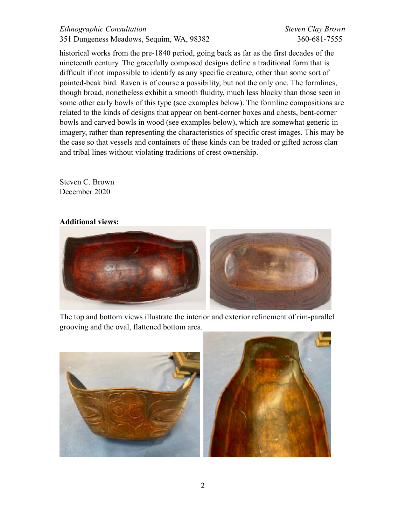## *Ethnographic Consultation Steven Clay Brown*  351 Dungeness Meadows , Sequim, WA, 98382 360-681-7555

historical works from the pre-1840 period, going back as far as the first decades of the nineteenth century. The gracefully composed designs define a traditional form that is difficult if not impossible to identify as any specific creature, other than some sort of pointed-beak bird. Raven is of course a possibility, but not the only one. The formlines, though broad, nonetheless exhibit a smooth fluidity, much less blocky than those seen in some other early bowls of this type (see examples below). The formline compositions are related to the kinds of designs that appear on bent-corner boxes and chests, bent-corner bowls and carved bowls in wood (see examples below), which are somewhat generic in imagery, rather than representing the characteristics of specific crest images. This may be the case so that vessels and containers of these kinds can be traded or gifted across clan and tribal lines without violating traditions of crest ownership.

Steven C. Brown December 2020

## **Additional views:**



The top and bottom views illustrate the interior and exterior refinement of rim-parallel grooving and the oval, flattened bottom area.

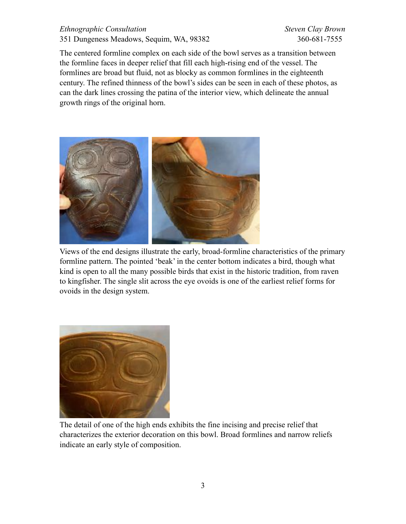## *Ethnographic Consultation Steven Clay Brown*  351 Dungeness Meadows , Sequim, WA, 98382 360-681-7555

The centered formline complex on each side of the bowl serves as a transition between the formline faces in deeper relief that fill each high-rising end of the vessel. The formlines are broad but fluid, not as blocky as common formlines in the eighteenth century. The refined thinness of the bowl's sides can be seen in each of these photos, as can the dark lines crossing the patina of the interior view, which delineate the annual growth rings of the original horn.



Views of the end designs illustrate the early, broad-formline characteristics of the primary formline pattern. The pointed 'beak' in the center bottom indicates a bird, though what kind is open to all the many possible birds that exist in the historic tradition, from raven to kingfisher. The single slit across the eye ovoids is one of the earliest relief forms for ovoids in the design system.



The detail of one of the high ends exhibits the fine incising and precise relief that characterizes the exterior decoration on this bowl. Broad formlines and narrow reliefs indicate an early style of composition.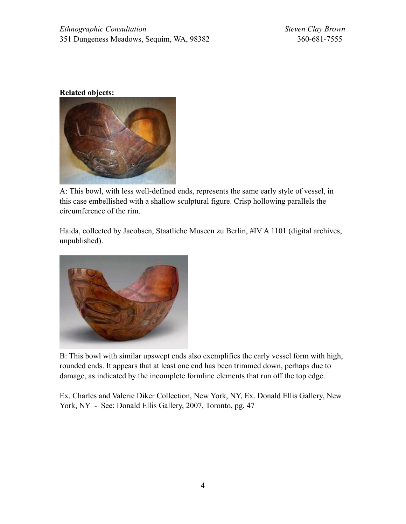## **Related objects:**



A: This bowl, with less well-defined ends, represents the same early style of vessel, in this case embellished with a shallow sculptural figure. Crisp hollowing parallels the circumference of the rim.

Haida, collected by Jacobsen, Staatliche Museen zu Berlin, #IV A 1101 (digital archives, unpublished).



B: This bowl with similar upswept ends also exemplifies the early vessel form with high, rounded ends. It appears that at least one end has been trimmed down, perhaps due to damage, as indicated by the incomplete formline elements that run off the top edge.

Ex. Charles and Valerie Diker Collection, New York, NY, Ex. Donald Ellis Gallery, New York, NY - See: Donald Ellis Gallery, 2007, Toronto, pg. 47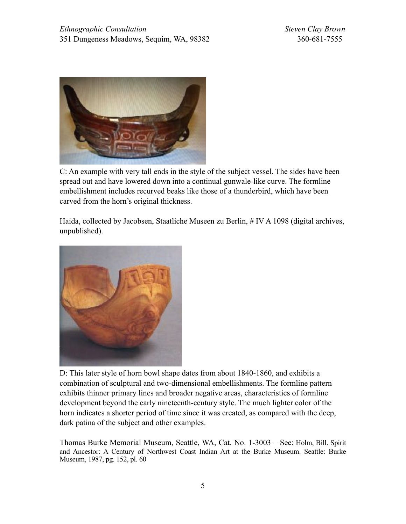

C: An example with very tall ends in the style of the subject vessel. The sides have been spread out and have lowered down into a continual gunwale-like curve. The formline embellishment includes recurved beaks like those of a thunderbird, which have been carved from the horn's original thickness.

Haida, collected by Jacobsen, Staatliche Museen zu Berlin, # IV A 1098 (digital archives, unpublished).



D: This later style of horn bowl shape dates from about 1840-1860, and exhibits a combination of sculptural and two-dimensional embellishments. The formline pattern exhibits thinner primary lines and broader negative areas, characteristics of formline development beyond the early nineteenth-century style. The much lighter color of the horn indicates a shorter period of time since it was created, as compared with the deep, dark patina of the subject and other examples.

Thomas Burke Memorial Museum, Seattle, WA, Cat. No. 1-3003 – See: Holm, Bill. Spirit and Ancestor: A Century of Northwest Coast Indian Art at the Burke Museum. Seattle: Burke Museum, 1987, pg. 152, pl. 60